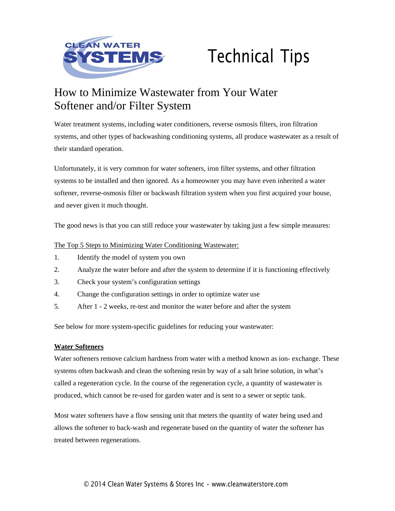

# Technical Tips

# How to Minimize Wastewater from Your Water Softener and/or Filter System

Water treatment systems, including water conditioners, reverse osmosis filters, iron filtration systems, and other types of backwashing conditioning systems, all produce wastewater as a result of their standard operation.

Unfortunately, it is very common for water softeners, iron filter systems, and other filtration systems to be installed and then ignored. As a homeowner you may have even inherited a water softener, reverse-osmosis filter or backwash filtration system when you first acquired your house, and never given it much thought.

The good news is that you can still reduce your wastewater by taking just a few simple measures:

# The Top 5 Steps to Minimizing Water Conditioning Wastewater:

- 1. Identify the model of system you own
- 2. Analyze the water before and after the system to determine if it is functioning effectively
- 3. Check your system's configuration settings
- 4. Change the configuration settings in order to optimize water use
- 5. After 1 2 weeks, re-test and monitor the water before and after the system

See below for more system-specific guidelines for reducing your wastewater:

## **Water Softeners**

Water softeners remove calcium hardness from water with a method known as ion- exchange. These systems often backwash and clean the softening resin by way of a salt brine solution, in what's called a regeneration cycle. In the course of the regeneration cycle, a quantity of wastewater is produced, which cannot be re-used for garden water and is sent to a sewer or septic tank.

Most water softeners have a flow sensing unit that meters the quantity of water being used and allows the softener to back-wash and regenerate based on the quantity of water the softener has treated between regenerations.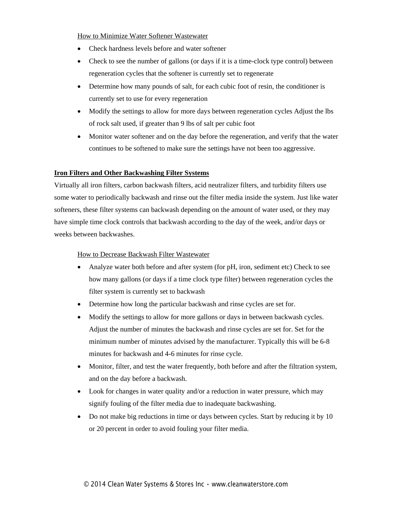How to Minimize Water Softener Wastewater

- Check hardness levels before and water softener
- Check to see the number of gallons (or days if it is a time-clock type control) between regeneration cycles that the softener is currently set to regenerate
- Determine how many pounds of salt, for each cubic foot of resin, the conditioner is currently set to use for every regeneration
- Modify the settings to allow for more days between regeneration cycles Adjust the lbs of rock salt used, if greater than 9 lbs of salt per cubic foot
- Monitor water softener and on the day before the regeneration, and verify that the water continues to be softened to make sure the settings have not been too aggressive.

## **Iron Filters and Other Backwashing Filter Systems**

Virtually all iron filters, carbon backwash filters, acid neutralizer filters, and turbidity filters use some water to periodically backwash and rinse out the filter media inside the system. Just like water softeners, these filter systems can backwash depending on the amount of water used, or they may have simple time clock controls that backwash according to the day of the week, and/or days or weeks between backwashes.

#### How to Decrease Backwash Filter Wastewater

- Analyze water both before and after system (for pH, iron, sediment etc) Check to see how many gallons (or days if a time clock type filter) between regeneration cycles the filter system is currently set to backwash
- Determine how long the particular backwash and rinse cycles are set for.
- Modify the settings to allow for more gallons or days in between backwash cycles. Adjust the number of minutes the backwash and rinse cycles are set for. Set for the minimum number of minutes advised by the manufacturer. Typically this will be 6-8 minutes for backwash and 4-6 minutes for rinse cycle.
- Monitor, filter, and test the water frequently, both before and after the filtration system, and on the day before a backwash.
- Look for changes in water quality and/or a reduction in water pressure, which may signify fouling of the filter media due to inadequate backwashing.
- Do not make big reductions in time or days between cycles. Start by reducing it by 10 or 20 percent in order to avoid fouling your filter media.